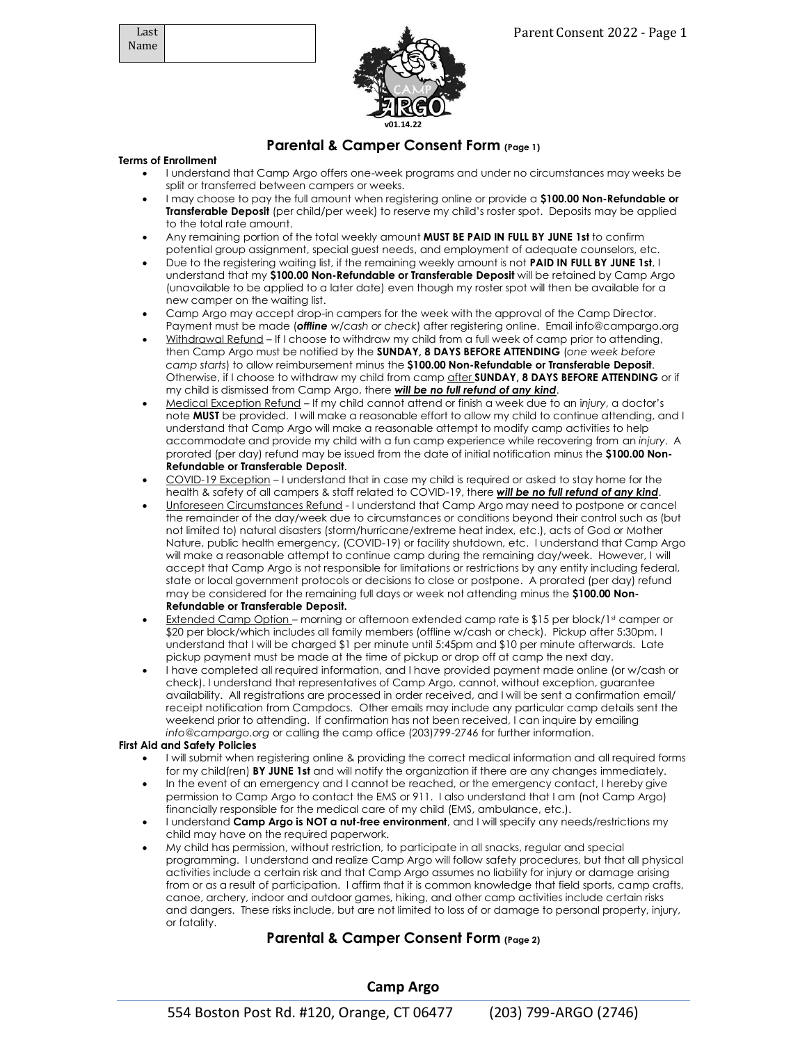

# **Parental & Camper Consent Form (Page 1)**

### **Terms of Enrollment**

- I understand that Camp Argo offers one-week programs and under no circumstances may weeks be split or transferred between campers or weeks.
- I may choose to pay the full amount when registering online or provide a **\$100.00 Non-Refundable or Transferable Deposit** (per child/per week) to reserve my child's roster spot. Deposits may be applied to the total rate amount.
- Any remaining portion of the total weekly amount **MUST BE PAID IN FULL BY JUNE 1st** to confirm potential group assignment, special guest needs, and employment of adequate counselors, etc.
- Due to the registering waiting list, if the remaining weekly amount is not **PAID IN FULL BY JUNE 1st**, I understand that my **\$100.00 Non-Refundable or Transferable Deposit** will be retained by Camp Argo (unavailable to be applied to a later date) even though my roster spot will then be available for a new camper on the waiting list.
- Camp Argo may accept drop-in campers for the week with the approval of the Camp Director. Payment must be made (*offline w/cash or check*) after registering online. Email info@campargo.org
- Withdrawal Refund If I choose to withdraw my child from a full week of camp prior to attending, then Camp Argo must be notified by the **SUNDAY, 8 DAYS BEFORE ATTENDING** (*one week before camp starts*) to allow reimbursement minus the **\$100.00 Non-Refundable or Transferable Deposit**. Otherwise, if I choose to withdraw my child from camp after **SUNDAY, 8 DAYS BEFORE ATTENDING** or if my child is dismissed from Camp Argo, there *will be no full refund of any kind*.
- Medical Exception Refund If my child cannot attend or finish a week due to an i*njury*, a doctor's note **MUST** be provided. I will make a reasonable effort to allow my child to continue attending, and I understand that Camp Argo will make a reasonable attempt to modify camp activities to help accommodate and provide my child with a fun camp experience while recovering from an *injury*. A prorated (per day) refund may be issued from the date of initial notification minus the **\$100.00 Non-Refundable or Transferable Deposit**.
- COVID-19 Exception I understand that in case my child is required or asked to stay home for the health & safety of all campers & staff related to COVID-19, there *will be no full refund of any kind*.
- Unforeseen Circumstances Refund I understand that Camp Argo may need to postpone or cancel the remainder of the day/week due to circumstances or conditions beyond their control such as (but not limited to) natural disasters (storm/hurricane/extreme heat index, etc.), acts of God or Mother Nature, public health emergency, (COVID-19) or facility shutdown, etc. I understand that Camp Argo will make a reasonable attempt to continue camp during the remaining day/week. However, I will accept that Camp Argo is not responsible for limitations or restrictions by any entity including federal, state or local government protocols or decisions to close or postpone. A prorated (per day) refund may be considered for the remaining full days or week not attending minus the **\$100.00 Non-Refundable or Transferable Deposit.**
- Extended Camp Option morning or afternoon extended camp rate is \$15 per block/1st camper or \$20 per block/which includes all family members (offline w/cash or check). Pickup after 5:30pm, I understand that I will be charged \$1 per minute until 5:45pm and \$10 per minute afterwards. Late pickup payment must be made at the time of pickup or drop off at camp the next day.
- I have completed all required information, and I have provided payment made online (or w/cash or check). I understand that representatives of Camp Argo, cannot, without exception, guarantee availability. All registrations are processed in order received, and I will be sent a confirmation email/ receipt notification from Campdocs. Other emails may include any particular camp details sent the weekend prior to attending. If confirmation has not been received, I can inquire by emailing *info@campargo.org* or calling the camp office (203)799-2746 for further information.

#### **First Aid and Safety Policies**

- I will submit when registering online & providing the correct medical information and all required forms for my child(ren) **BY JUNE 1st** and will notify the organization if there are any changes immediately.
- In the event of an emergency and I cannot be reached, or the emergency contact, I hereby give permission to Camp Argo to contact the EMS or 911. I also understand that I am (not Camp Argo) financially responsible for the medical care of my child (EMS, ambulance, etc.).
- I understand **Camp Argo is NOT a nut-free environment**, and I will specify any needs/restrictions my child may have on the required paperwork.
- My child has permission, without restriction, to participate in all snacks, regular and special programming. I understand and realize Camp Argo will follow safety procedures, but that all physical activities include a certain risk and that Camp Argo assumes no liability for injury or damage arising from or as a result of participation. I affirm that it is common knowledge that field sports, camp crafts, canoe, archery, indoor and outdoor games, hiking, and other camp activities include certain risks and dangers. These risks include, but are not limited to loss of or damage to personal property, injury, or fatality.

# **Parental & Camper Consent Form (Page 2)**

# **Camp Argo**